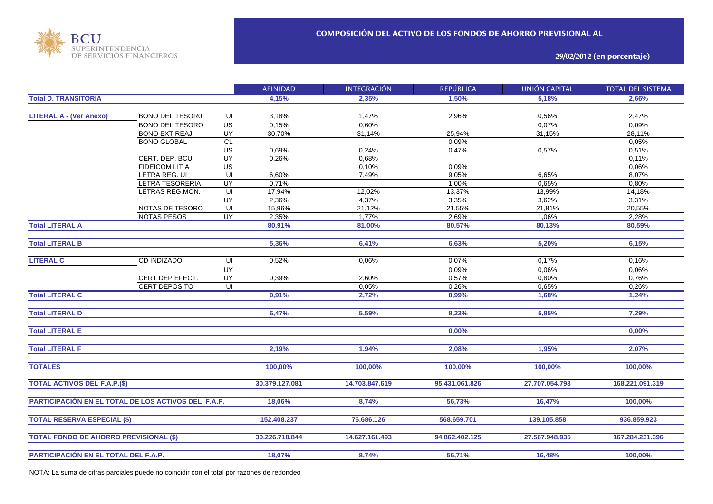

**29/02/2012 (en porcentaje)**

|                                                     |                        |                | <b>AFINIDAD</b> | <b>INTEGRACIÓN</b> | <b>REPÚBLICA</b> | UNIÓN CAPITAL  | <b>TOTAL DEL SISTEMA</b> |
|-----------------------------------------------------|------------------------|----------------|-----------------|--------------------|------------------|----------------|--------------------------|
| <b>Total D. TRANSITORIA</b>                         |                        |                | 4,15%           | 2,35%              | 1,50%            | 5,18%          | 2,66%                    |
|                                                     |                        |                |                 |                    |                  |                |                          |
| <b>LITERAL A - (Ver Anexo)</b>                      | <b>BONO DEL TESOR0</b> | UI             | 3,18%           | 1,47%              | 2,96%            | 0,56%          | 2,47%                    |
|                                                     | <b>BONO DEL TESORO</b> | $\overline{G}$ | 0,15%           | 0,60%              |                  | 0,07%          | 0,09%                    |
|                                                     | <b>BONO EXT REAJ</b>   | UY             | 30,70%          | 31,14%             | 25,94%           | 31,15%         | 28,11%                   |
|                                                     | <b>BONO GLOBAL</b>     | <b>CL</b>      |                 |                    | 0,09%            |                | 0,05%                    |
|                                                     |                        | US             | 0,69%           | 0,24%              | 0,47%            | 0,57%          | 0,51%                    |
|                                                     | CERT. DEP. BCU         | UY             | 0,26%           | 0,68%              |                  |                | 0,11%                    |
|                                                     | <b>FIDEICOM LIT A</b>  | US             |                 | 0,10%              | 0,09%            |                | 0,06%                    |
|                                                     | LETRA REG. UI          | UI             | 6,60%           | 7,49%              | 9,05%            | 6,65%          | 8,07%                    |
|                                                     | LETRA TESORERIA        | UY             | 0,71%           |                    | 1,00%            | 0,65%          | 0,80%                    |
|                                                     | LETRAS REG.MON.        | UI             | 17,94%          | 12,02%             | 13,37%           | 13,99%         | 14,18%                   |
|                                                     |                        | UY             | 2,36%           | 4,37%              | 3,35%            | 3,62%          | 3,31%                    |
|                                                     | NOTAS DE TESORO        | $\overline{U}$ | 15,96%          | 21,12%             | 21,55%           | 21,81%         | 20,55%                   |
|                                                     | <b>NOTAS PESOS</b>     | <b>UY</b>      | 2,35%           | 1,77%              | 2,69%            | 1,06%          | 2,28%                    |
| <b>Total LITERAL A</b>                              |                        |                | 80,91%          | 81,00%             | 80,57%           | 80,13%         | 80,59%                   |
|                                                     |                        |                |                 |                    |                  |                |                          |
| <b>Total LITERAL B</b>                              |                        |                | 5,36%           | 6,41%              | 6,63%            | 5,20%          | 6,15%                    |
|                                                     |                        |                |                 |                    |                  |                |                          |
| <b>LITERAL C</b>                                    | <b>CD INDIZADO</b>     | UI             | 0,52%           | 0,06%              | 0,07%            | 0,17%          | 0,16%                    |
|                                                     |                        | UY             |                 |                    | 0,09%            | 0,06%          | 0,06%                    |
|                                                     | CERT DEP EFECT.        | UY             | 0,39%           | 2,60%              | 0,57%            | 0,80%          | 0,76%                    |
|                                                     | CERT DEPOSITO          | UI             |                 | 0,05%              | 0,26%            | 0,65%          | 0,26%                    |
| <b>Total LITERAL C</b>                              |                        |                | 0,91%           | 2,72%              | 0,99%            | 1,68%          | 1,24%                    |
|                                                     |                        |                |                 |                    |                  |                |                          |
| <b>Total LITERAL D</b>                              |                        |                | 6,47%           | 5,59%              | 8,23%            | 5,85%          | 7,29%                    |
|                                                     |                        |                |                 |                    |                  |                |                          |
| <b>Total LITERAL E</b>                              |                        |                |                 |                    | 0,00%            |                | 0,00%                    |
|                                                     |                        |                |                 |                    |                  |                |                          |
| <b>Total LITERAL F</b>                              |                        |                | 2,19%           | 1,94%              | 2,08%            | 1,95%          | 2,07%                    |
|                                                     |                        |                |                 |                    |                  |                |                          |
| <b>TOTALES</b>                                      |                        |                | 100,00%         | 100,00%            | 100,00%          | 100,00%        | 100,00%                  |
|                                                     |                        |                |                 |                    |                  |                |                          |
| <b>TOTAL ACTIVOS DEL F.A.P.(\$)</b>                 |                        |                | 30.379.127.081  | 14.703.847.619     | 95.431.061.826   | 27.707.054.793 | 168.221.091.319          |
|                                                     |                        |                |                 |                    |                  |                |                          |
| PARTICIPACIÓN EN EL TOTAL DE LOS ACTIVOS DEL F.A.P. |                        |                | 18,06%          | 8,74%              | 56,73%           | 16,47%         | 100,00%                  |
|                                                     |                        |                |                 |                    |                  |                |                          |
| <b>TOTAL RESERVA ESPECIAL (\$)</b>                  |                        |                | 152.408.237     | 76.686.126         | 568.659.701      | 139.105.858    | 936.859.923              |
|                                                     |                        |                |                 |                    |                  |                |                          |
| <b>TOTAL FONDO DE AHORRO PREVISIONAL (\$)</b>       |                        |                | 30.226.718.844  | 14.627.161.493     | 94.862.402.125   | 27.567.948.935 | 167.284.231.396          |
|                                                     |                        |                |                 |                    |                  |                |                          |
|                                                     |                        |                | 18,07%          | 8,74%              | 56,71%           | 16,48%         | 100,00%                  |
| PARTICIPACIÓN EN EL TOTAL DEL F.A.P.                |                        |                |                 |                    |                  |                |                          |

NOTA: La suma de cifras parciales puede no coincidir con el total por razones de redondeo